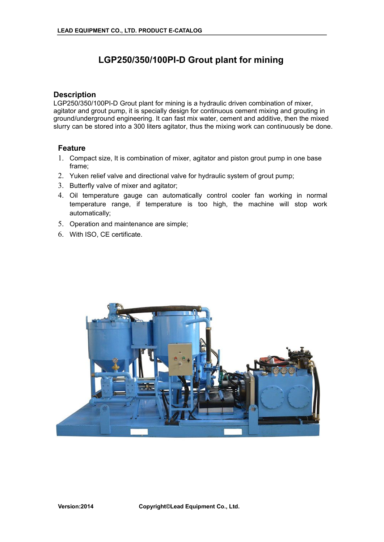# **LGP250/350/100PI-D Grout plant for mining**

## **Description**

LGP250/350/100PI-D Grout plant for mining is a hydraulic driven combination of mixer, agitator and grout pump, it is specially design for continuous cement mixing and grouting in ground/underground engineering. It can fast mix water, cement and additive, then the mixed slurry can be stored into a 300 liters agitator, thus the mixing work can continuously be done. **LGP250/350/100PI-D Grout plant for mining**<br>
escription<br>
GP250/350/100PI-D Grout plant for mining is a hydraulic driven combination of mixer,<br>
gitator and grout pump, it is specially design for continuous cement mixing and **Example 10**<br>
2. Yuken CFP250/350/100PI-D Grout plant for mining is a hydraulic driven combination of mixer,<br>
gitator and grout pump, it is specially design for continuous cement mixing and grouting in<br>
2. Yuken relief val **Example 10**<br> **SP250/350/100PI-D Grout plant for mining is a hydraulic driven combination**<br>
GP250/350/100PI-D Grout plant for mining is a hydraulic driven combination<br>
gitator and grout pump, it is pecially design for cont **Example 1.** One of the main of mixing is a hydraulic driven combination of mixer,<br>
GP250/350/100PI-D Grout plant for mining is a hydraulic driven combination of mixer,<br>
orionnal grout pump, it is specially design for cont 150/350/100PI-D Grout plant for mining is a hydraulic driven combination of mixer,<br>150/350/100PI-D Grout plant for mining is a hydraulic driven combination of mixer,<br>or and grout pump, it is specially design for continuous

# **Feature**

- frame;
- 
- 
- automatically; round/underground engineering. It can tast mix water, cement and additive, then turry can be stored into a 300 liters agitator, thus the mixing work can continuousl<br> **Feature**<br>
1. Compact size, It is combination of mixer, Feature<br>1. Compact size, It is combination of mixer, agitator and pistor<br>frame;<br>2. Yuken relief valve and directional valve for hydraulic system<br>3. Butterfly valve of mixer and agitator;<br>4. Oil temperature gauge can automa
- 
- 

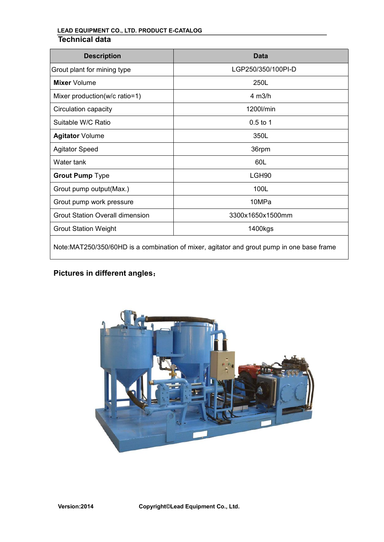# **LEAD EQUIPMENT CO., LTD. PRODUCT E-CATALOG**

| LEAD EQUIPMENT CO., LTD. PRODUCT E-CATALOG<br><b>Technical data</b><br><b>Description</b><br><b>Data</b> |
|----------------------------------------------------------------------------------------------------------|
|                                                                                                          |
|                                                                                                          |
|                                                                                                          |
|                                                                                                          |
|                                                                                                          |
|                                                                                                          |
|                                                                                                          |
| Grout plant for mining type<br>LGP250/350/100PI-D                                                        |
| <b>Mixer Volume</b><br>250L                                                                              |
| 4 m3/h<br>Mixer production(w/c ratio=1)                                                                  |
| Circulation capacity<br>1200l/min                                                                        |
| Suitable W/C Ratio<br>$0.5$ to 1                                                                         |
| <b>Agitator Volume</b><br>350L                                                                           |
| <b>Agitator Speed</b><br>36rpm                                                                           |
| Water tank<br>60L                                                                                        |
| <b>Grout Pump Type</b><br>LGH90                                                                          |
| 100L<br>Grout pump output(Max.)                                                                          |
| Grout pump work pressure<br>10MPa                                                                        |
| <b>Grout Station Overall dimension</b><br>3300x1650x1500mm                                               |
| <b>Grout Station Weight</b><br>1400kgs                                                                   |
| Note:MAT250/350/60HD is a combination of mixer, agitator and grout pump in one base frame                |

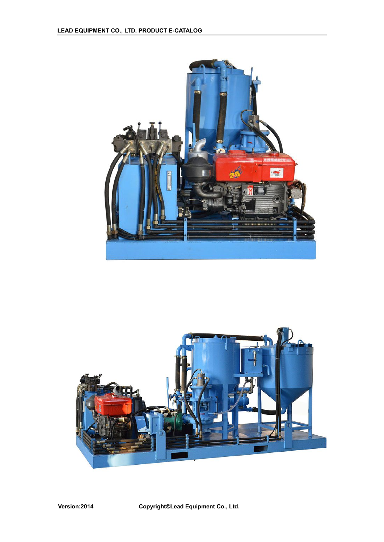

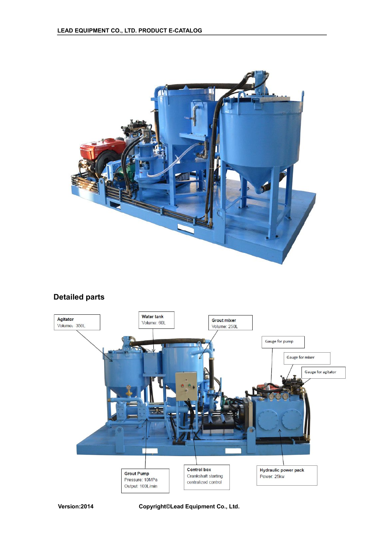

# **Detailed parts**



**Version:2014 Copyright©Lead Equipment Co., Ltd.**